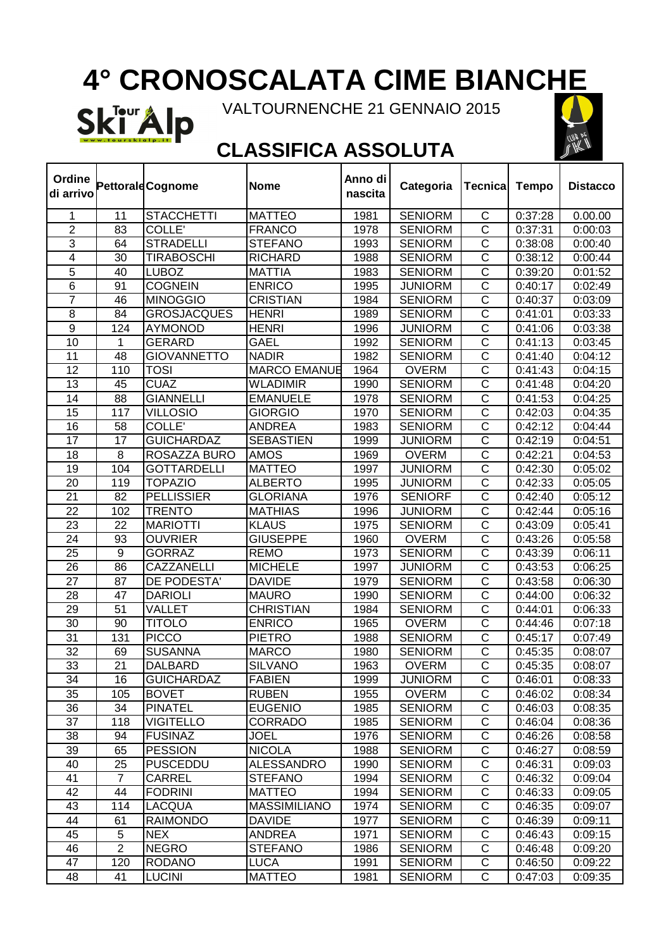# **4° CRONOSCALATA CIME BIANCHE**

Ski<sup>Tour</sup> Alp VALTOURNENCHE 21 GENNAIO 2015



 $\overline{\phantom{0}}$ 

### **CLASSIFICA ASSOLUTA**

 $\overline{\phantom{a}}$ 

 $\mathbf \tau$ 

 $\Gamma$ 

| Ordine<br>di arrivo |                 | Pettorald Cognome  | <b>Nome</b>         | Anno di<br>nascita | Categoria      | <b>Tecnica</b>          | <b>Tempo</b> | <b>Distacco</b> |
|---------------------|-----------------|--------------------|---------------------|--------------------|----------------|-------------------------|--------------|-----------------|
| 1                   | 11              | <b>STACCHETTI</b>  | <b>MATTEO</b>       | 1981               | <b>SENIORM</b> | $\mathsf C$             | 0:37:28      | 0.00.00         |
| $\overline{2}$      | 83              | COLLE'             | <b>FRANCO</b>       | 1978               | <b>SENIORM</b> | $\overline{\text{c}}$   | 0:37:31      | 0:00:03         |
| 3                   | 64              | <b>STRADELLI</b>   | <b>STEFANO</b>      | 1993               | <b>SENIORM</b> | $\overline{\text{c}}$   | 0:38:08      | 0:00:40         |
| 4                   | 30              | <b>TIRABOSCHI</b>  | <b>RICHARD</b>      | 1988               | <b>SENIORM</b> | $\overline{\text{c}}$   | 0:38:12      | 0:00:44         |
| 5                   | 40              | <b>LUBOZ</b>       | <b>MATTIA</b>       | 1983               | <b>SENIORM</b> | $\overline{\text{c}}$   | 0:39:20      | 0:01:52         |
| 6                   | 91              | <b>COGNEIN</b>     | <b>ENRICO</b>       | 1995               | <b>JUNIORM</b> | $\overline{\text{c}}$   | 0:40:17      | 0:02:49         |
| $\overline{7}$      | 46              | <b>MINOGGIO</b>    | <b>CRISTIAN</b>     | 1984               | <b>SENIORM</b> | $\overline{\text{c}}$   | 0:40:37      | 0:03:09         |
| 8                   | 84              | <b>GROSJACQUES</b> | <b>HENRI</b>        | 1989               | <b>SENIORM</b> | $\overline{\text{c}}$   | 0:41:01      | 0:03:33         |
| $\overline{9}$      | 124             | <b>AYMONOD</b>     | <b>HENRI</b>        | 1996               | <b>JUNIORM</b> | $\overline{\text{c}}$   | 0:41:06      | 0:03:38         |
| 10                  | 1               | <b>GERARD</b>      | <b>GAEL</b>         | 1992               | <b>SENIORM</b> | $\overline{\text{c}}$   | 0:41:13      | 0:03:45         |
| 11                  | 48              | <b>GIOVANNETTO</b> | <b>NADIR</b>        | 1982               | <b>SENIORM</b> | $\overline{\text{c}}$   | 0:41:40      | 0:04:12         |
| 12                  | 110             | <b>TOSI</b>        | <b>MARCO EMANUE</b> | 1964               | <b>OVERM</b>   | $\overline{\text{c}}$   | 0:41:43      | 0:04:15         |
| 13                  | 45              | <b>CUAZ</b>        | <b>WLADIMIR</b>     | 1990               | <b>SENIORM</b> | $\overline{\text{c}}$   | 0:41:48      | 0:04:20         |
| 14                  | 88              | <b>GIANNELLI</b>   | <b>EMANUELE</b>     | 1978               | <b>SENIORM</b> | $\mathsf C$             | 0:41:53      | 0:04:25         |
| 15                  | 117             | <b>VILLOSIO</b>    | <b>GIORGIO</b>      | 1970               | <b>SENIORM</b> | $\overline{\text{c}}$   | 0:42:03      | 0:04:35         |
| 16                  | 58              | COLLE'             | <b>ANDREA</b>       | 1983               | <b>SENIORM</b> | $\overline{\text{c}}$   | 0:42:12      | 0:04:44         |
| 17                  | 17              | <b>GUICHARDAZ</b>  | <b>SEBASTIEN</b>    | 1999               | <b>JUNIORM</b> | $\overline{\text{c}}$   | 0:42:19      | 0:04:51         |
| 18                  | 8               | ROSAZZA BURO       | <b>AMOS</b>         | 1969               | <b>OVERM</b>   | $\overline{\text{c}}$   | 0:42:21      | 0:04:53         |
| 19                  | 104             | <b>GOTTARDELLI</b> | <b>MATTEO</b>       | 1997               | <b>JUNIORM</b> | $\overline{\text{c}}$   | 0:42:30      | 0:05:02         |
| 20                  | 119             | <b>TOPAZIO</b>     | <b>ALBERTO</b>      | 1995               | <b>JUNIORM</b> | $\overline{\text{c}}$   | 0:42:33      | 0:05:05         |
| 21                  | 82              | <b>PELLISSIER</b>  | <b>GLORIANA</b>     | 1976               | <b>SENIORF</b> | $\overline{\text{c}}$   | 0:42:40      | 0:05:12         |
| 22                  | 102             | <b>TRENTO</b>      | <b>MATHIAS</b>      | 1996               | <b>JUNIORM</b> | $\overline{\text{c}}$   | 0:42:44      | 0:05:16         |
| 23                  | 22              | <b>MARIOTTI</b>    | <b>KLAUS</b>        | 1975               | <b>SENIORM</b> | $\overline{\rm C}$      | 0:43:09      | 0:05:41         |
| 24                  | 93              | <b>OUVRIER</b>     | <b>GIUSEPPE</b>     | 1960               | <b>OVERM</b>   | $\overline{\text{c}}$   | 0:43:26      | 0:05:58         |
| 25                  | 9               | <b>GORRAZ</b>      | <b>REMO</b>         | 1973               | <b>SENIORM</b> | $\overline{\text{c}}$   | 0:43:39      | 0:06:11         |
| 26                  | 86              | CAZZANELLI         | <b>MICHELE</b>      | 1997               | <b>JUNIORM</b> | $\overline{\text{c}}$   | 0:43:53      | 0:06:25         |
| 27                  | 87              | DE PODESTA'        | <b>DAVIDE</b>       | 1979               | <b>SENIORM</b> | $\overline{C}$          | 0:43:58      | 0:06:30         |
| 28                  | 47              | <b>DARIOLI</b>     | <b>MAURO</b>        | 1990               | <b>SENIORM</b> | $\overline{\text{c}}$   | 0:44:00      | 0:06:32         |
| 29                  | $\overline{51}$ | VALLET             | <b>CHRISTIAN</b>    | 1984               | <b>SENIORM</b> | $\overline{\text{c}}$   | 0:44:01      | 0:06:33         |
| 30                  | 90              | <b>TITOLO</b>      | <b>ENRICO</b>       | 1965               | <b>OVERM</b>   | $\overline{\text{c}}$   | 0:44:46      | 0:07:18         |
| 31                  | 131             | <b>PICCO</b>       | <b>PIETRO</b>       | 1988               | <b>SENIORM</b> | $\overline{\text{c}}$   | 0:45:17      | 0:07:49         |
| $\overline{32}$     | 69              | <b>SUSANNA</b>     | <b>MARCO</b>        | 1980               | <b>SENIORM</b> | $\overline{\text{c}}$   | 0:45:35      | 0:08:07         |
| 33                  | 21              | DALBARD            | <b>SILVANO</b>      | 1963               | <b>OVERM</b>   | $\overline{\text{c}}$   | 0:45:35      | 0:08:07         |
| 34                  | 16              | <b>GUICHARDAZ</b>  | <b>FABIEN</b>       | 1999               | <b>JUNIORM</b> | $\mathsf C$             | 0:46:01      | 0:08:33         |
| 35                  | 105             | <b>BOVET</b>       | <b>RUBEN</b>        | 1955               | <b>OVERM</b>   | $\mathsf C$             | 0:46:02      | 0:08:34         |
| 36                  | 34              | <b>PINATEL</b>     | <b>EUGENIO</b>      | 1985               | <b>SENIORM</b> | C                       | 0:46:03      | 0:08:35         |
| 37                  | 118             | <b>VIGITELLO</b>   | <b>CORRADO</b>      | 1985               | <b>SENIORM</b> | C                       | 0:46:04      | 0:08:36         |
| 38                  | 94              | <b>FUSINAZ</b>     | <b>JOEL</b>         | 1976               | <b>SENIORM</b> | $\overline{C}$          | 0:46:26      | 0:08:58         |
| 39                  | 65              | <b>PESSION</b>     | <b>NICOLA</b>       | 1988               | <b>SENIORM</b> | $\overline{C}$          | 0:46:27      | 0:08:59         |
| 40                  | 25              | <b>PUSCEDDU</b>    | <b>ALESSANDRO</b>   | 1990               | <b>SENIORM</b> | $\overline{C}$          | 0:46:31      | 0:09:03         |
| 41                  | $\overline{7}$  | CARREL             | <b>STEFANO</b>      | 1994               | <b>SENIORM</b> | $\overline{\text{C}}$   | 0:46:32      | 0:09:04         |
| 42                  | 44              | <b>FODRINI</b>     | <b>MATTEO</b>       | 1994               | <b>SENIORM</b> | $\overline{\text{C}}$   | 0:46:33      | 0:09:05         |
| 43                  | 114             | <b>LACQUA</b>      | <b>MASSIMILIANO</b> | 1974               | <b>SENIORM</b> | $\overline{\text{c}}$   | 0:46:35      | 0:09:07         |
| 44                  | 61              | <b>RAIMONDO</b>    | <b>DAVIDE</b>       | 1977               | <b>SENIORM</b> | $\overline{\mathsf{c}}$ | 0:46:39      | 0:09:11         |
| 45                  | 5               | <b>NEX</b>         | ANDREA              | 1971               | <b>SENIORM</b> | $\overline{C}$          | 0:46:43      | 0:09:15         |
| 46                  | $\overline{2}$  | <b>NEGRO</b>       | <b>STEFANO</b>      | 1986               | <b>SENIORM</b> | $\overline{C}$          | 0:46:48      | 0:09:20         |
| 47                  | 120             | <b>RODANO</b>      | <b>LUCA</b>         | 1991               | <b>SENIORM</b> | C                       | 0:46:50      | 0:09:22         |
| 48                  | 41              | <b>LUCINI</b>      | <b>MATTEO</b>       | 1981               | <b>SENIORM</b> | $\mathsf{C}$            | 0:47:03      | 0:09:35         |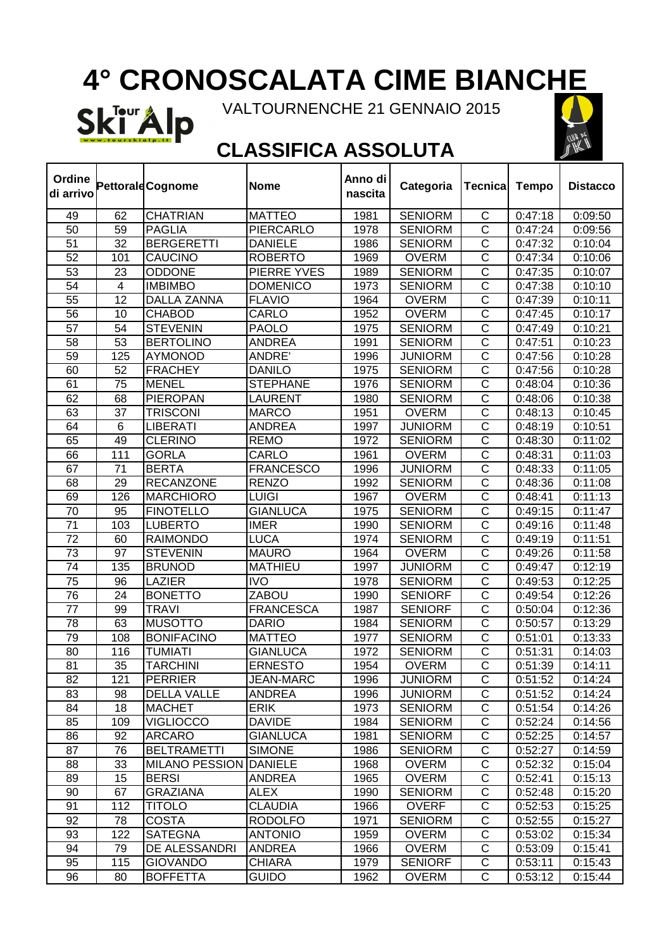# **4° CRONOSCALATA CIME BIANCHE**

Ski<sup>Tour</sup> Alp VALTOURNENCHE 21 GENNAIO 2015



 $\overline{\mathbf{1}}$ 

#### **CLASSIFICA ASSOLUTA**

 $\overline{\phantom{a}}$ 

 $\mathbf \tau$ 

 $\Gamma$ 

| Ordine<br>di arrivo |     | <b>Pettorald Cognome</b>      | <b>Nome</b>      | Anno di<br>nascita | Categoria      | Tecnica                 | <b>Tempo</b> | <b>Distacco</b> |
|---------------------|-----|-------------------------------|------------------|--------------------|----------------|-------------------------|--------------|-----------------|
| 49                  | 62  | <b>CHATRIAN</b>               | <b>MATTEO</b>    | 1981               | <b>SENIORM</b> | $\mathsf C$             | 0:47:18      | 0:09:50         |
| 50                  | 59  | <b>PAGLIA</b>                 | <b>PIERCARLO</b> | 1978               | <b>SENIORM</b> | $\overline{\text{c}}$   | 0:47:24      | 0:09:56         |
| 51                  | 32  | <b>BERGERETTI</b>             | <b>DANIELE</b>   | 1986               | <b>SENIORM</b> | $\overline{\text{c}}$   | 0:47:32      | 0:10:04         |
| 52                  | 101 | <b>CAUCINO</b>                | <b>ROBERTO</b>   | 1969               | <b>OVERM</b>   | $\overline{\text{c}}$   | 0:47:34      | 0:10:06         |
| 53                  | 23  | <b>ODDONE</b>                 | PIERRE YVES      | 1989               | <b>SENIORM</b> | $\overline{\text{c}}$   | 0:47:35      | 0:10:07         |
| 54                  | 4   | <b>IMBIMBO</b>                | <b>DOMENICO</b>  | 1973               | <b>SENIORM</b> | $\overline{\text{c}}$   | 0:47:38      | 0:10:10         |
| 55                  | 12  | <b>DALLA ZANNA</b>            | <b>FLAVIO</b>    | 1964               | <b>OVERM</b>   | $\overline{\text{c}}$   | 0:47:39      | 0:10:11         |
| 56                  | 10  | <b>CHABOD</b>                 | CARLO            | 1952               | <b>OVERM</b>   | $\overline{\text{c}}$   | 0:47:45      | 0:10:17         |
| 57                  | 54  | <b>STEVENIN</b>               | <b>PAOLO</b>     | 1975               | <b>SENIORM</b> | $\overline{C}$          | 0:47:49      | 0:10:21         |
| 58                  | 53  | <b>BERTOLINO</b>              | ANDREA           | 1991               | <b>SENIORM</b> | $\overline{\text{c}}$   | 0:47:51      | 0:10:23         |
| 59                  | 125 | <b>AYMONOD</b>                | <b>ANDRE'</b>    | 1996               | <b>JUNIORM</b> | $\overline{\text{c}}$   | 0:47:56      | 0:10:28         |
| 60                  | 52  | <b>FRACHEY</b>                | <b>DANILO</b>    | 1975               | <b>SENIORM</b> | $\overline{\text{C}}$   | 0:47:56      | 0:10:28         |
| 61                  | 75  | <b>MENEL</b>                  | <b>STEPHANE</b>  | 1976               | <b>SENIORM</b> | $\overline{\text{c}}$   | 0:48:04      | 0:10:36         |
| 62                  | 68  | <b>PIEROPAN</b>               | LAURENT          | 1980               | <b>SENIORM</b> | $\mathsf C$             | 0:48:06      | 0:10:38         |
| 63                  | 37  | <b>TRISCONI</b>               | <b>MARCO</b>     | 1951               | <b>OVERM</b>   | $\overline{\text{C}}$   | 0:48:13      | 0:10:45         |
| 64                  | 6   | <b>LIBERATI</b>               | <b>ANDREA</b>    | 1997               | <b>JUNIORM</b> | $\overline{\text{c}}$   | 0:48:19      | 0:10:51         |
| 65                  | 49  | <b>CLERINO</b>                | <b>REMO</b>      | 1972               | <b>SENIORM</b> | $\overline{\text{c}}$   | 0:48:30      | 0:11:02         |
| 66                  | 111 | <b>GORLA</b>                  | CARLO            | 1961               | <b>OVERM</b>   | $\overline{\text{c}}$   | 0:48:31      | 0:11:03         |
| 67                  | 71  | <b>BERTA</b>                  | <b>FRANCESCO</b> | 1996               | <b>JUNIORM</b> | $\overline{\text{c}}$   | 0:48:33      | 0:11:05         |
| 68                  | 29  | <b>RECANZONE</b>              | <b>RENZO</b>     | 1992               | <b>SENIORM</b> | $\overline{\text{c}}$   | 0:48:36      | 0:11:08         |
| 69                  | 126 | <b>MARCHIORO</b>              | <b>LUIGI</b>     | 1967               | <b>OVERM</b>   | $\overline{\text{c}}$   | 0:48:41      | 0:11:13         |
| 70                  | 95  | <b>FINOTELLO</b>              | <b>GIANLUCA</b>  | 1975               | <b>SENIORM</b> | $\overline{\text{c}}$   | 0:49:15      | 0:11:47         |
| 71                  | 103 | <b>LUBERTO</b>                | <b>IMER</b>      | 1990               | <b>SENIORM</b> | $\overline{\rm C}$      | 0:49:16      | 0:11:48         |
| 72                  | 60  | <b>RAIMONDO</b>               | <b>LUCA</b>      | 1974               | <b>SENIORM</b> | C                       | 0:49:19      | 0:11:51         |
| 73                  | 97  | <b>STEVENIN</b>               | <b>MAURO</b>     | 1964               | <b>OVERM</b>   | $\overline{\text{c}}$   | 0:49:26      | 0:11:58         |
| 74                  | 135 | <b>BRUNOD</b>                 | <b>MATHIEU</b>   | 1997               | <b>JUNIORM</b> | $\overline{\text{C}}$   | 0:49:47      | 0:12:19         |
| 75                  | 96  | <b>LAZIER</b>                 | <b>IVO</b>       | 1978               | <b>SENIORM</b> | $\overline{C}$          | 0:49:53      | 0:12:25         |
| 76                  | 24  | <b>BONETTO</b>                | <b>ZABOU</b>     | 1990               | <b>SENIORF</b> | $\overline{\text{c}}$   | 0:49:54      | 0:12:26         |
| 77                  | 99  | <b>TRAVI</b>                  | <b>FRANCESCA</b> | 1987               | <b>SENIORF</b> | $\overline{\text{c}}$   | 0:50:04      | 0:12:36         |
| 78                  | 63  | <b>MUSOTTO</b>                | <b>DARIO</b>     | 1984               | <b>SENIORM</b> | $\overline{\text{c}}$   | 0:50:57      | 0:13:29         |
| 79                  | 108 | <b>BONIFACINO</b>             | <b>MATTEO</b>    | 1977               | <b>SENIORM</b> | $\overline{\text{c}}$   | 0:51:01      | 0:13:33         |
| 80                  | 116 | <b>TUMIATI</b>                | <b>GIANLUCA</b>  | 1972               | <b>SENIORM</b> | $\overline{\text{c}}$   | 0:51:31      | 0:14:03         |
| 81                  | 35  | <b>TARCHINI</b>               | <b>ERNESTO</b>   | 1954               | <b>OVERM</b>   | $\overline{\text{c}}$   | 0:51:39      | 0:14:11         |
| 82                  | 121 | <b>PERRIER</b>                | <b>JEAN-MARC</b> | 1996               | <b>JUNIORM</b> | $\mathsf C$             | 0:51:52      | 0:14:24         |
| 83                  | 98  | DELLA VALLE                   | ANDREA           | 1996               | <b>JUNIORM</b> | $\mathsf C$             | 0:51:52      | 0:14:24         |
| 84                  | 18  | <b>MACHET</b>                 | <b>ERIK</b>      | 1973               | <b>SENIORM</b> | C                       | 0:51:54      | 0:14:26         |
| 85                  | 109 | <b>VIGLIOCCO</b>              | <b>DAVIDE</b>    | 1984               | <b>SENIORM</b> | C                       | 0:52:24      | 0:14:56         |
| 86                  | 92  | <b>ARCARO</b>                 | <b>GIANLUCA</b>  | 1981               | <b>SENIORM</b> | $\mathsf C$             | 0:52:25      | 0:14:57         |
| 87                  | 76  | <b>BELTRAMETTI</b>            | <b>SIMONE</b>    | 1986               | <b>SENIORM</b> | $\mathsf C$             | 0:52:27      | 0:14:59         |
| 88                  | 33  | <b>MILANO PESSION DANIELE</b> |                  | 1968               | <b>OVERM</b>   | $\overline{C}$          | 0:52:32      | 0:15:04         |
| 89                  | 15  | <b>BERSI</b>                  | <b>ANDREA</b>    | 1965               | <b>OVERM</b>   | $\overline{\mathsf{C}}$ | 0:52:41      | 0:15:13         |
| 90                  | 67  | <b>GRAZIANA</b>               | <b>ALEX</b>      | 1990               | <b>SENIORM</b> | $\overline{C}$          | 0:52:48      | 0:15:20         |
| 91                  | 112 | <b>TITOLO</b>                 | <b>CLAUDIA</b>   | 1966               | <b>OVERF</b>   | $\overline{C}$          | 0:52:53      | 0:15:25         |
| 92                  | 78  | <b>COSTA</b>                  | <b>RODOLFO</b>   | 1971               | <b>SENIORM</b> | $\overline{\text{c}}$   | 0:52:55      | 0:15:27         |
| 93                  | 122 | <b>SATEGNA</b>                | <b>ANTONIO</b>   | 1959               | <b>OVERM</b>   | $\overline{C}$          | 0:53:02      | 0:15:34         |
| 94                  | 79  | DE ALESSANDRI                 | <b>ANDREA</b>    | 1966               | <b>OVERM</b>   | $\mathsf C$             | 0:53:09      | 0:15:41         |
| 95                  | 115 | <b>GIOVANDO</b>               | <b>CHIARA</b>    | 1979               | <b>SENIORF</b> | $\overline{C}$          | 0:53:11      | 0:15:43         |
| 96                  | 80  | <b>BOFFETTA</b>               | <b>GUIDO</b>     | 1962               | <b>OVERM</b>   | C                       | 0:53:12      | 0:15:44         |